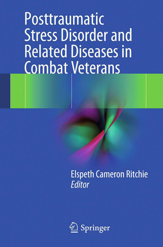# Posttraumatic **Stress Disorder and Related Diseases in Combat Veterans**

# **Elspeth Cameron Ritchie** Editor

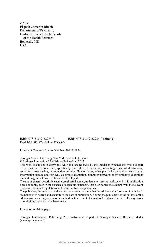*Editor* Elspeth Cameron Ritchie Department of Psychiatry Uniformed Services University of the Health Sciences Bethesda, MD USA

DOI 10.1007/978-3-319-22985-0

#### ISBN 978-3-319-22984-3 ISBN 978-3-319-22985-0 (eBook)

Library of Congress Control Number: 2015951824

Springer Cham Heidelberg New York Dordrecht London

© Springer International Publishing Switzerland 2015

This work is subject to copyright. All rights are reserved by the Publisher, whether the whole or part of the material is concerned, specifically the rights of translation, reprinting, reuse of illustrations, recitation, broadcasting, reproduction on microfilms or in any other physical way, and transmission or information storage and retrieval, electronic adaptation, computer software, or by similar or dissimilar methodology now known or hereafter developed.

The use of general descriptive names, registered names, trademarks, service marks, etc. in this publication does not imply, even in the absence of a specific statement, that such names are exempt from the relevant protective laws and regulations and therefore free for general use.

The publisher, the authors and the editors are safe to assume that the advice and information in this book are believed to be true and accurate at the date of publication. Neither the publisher nor the authors or the editors give a warranty, express or implied, with respect to the material contained herein or for any errors or omissions that may have been made.

Printed on acid-free paper

Springer International Publishing AG Switzerland is part of Springer Science+Business Media (www.springer.com)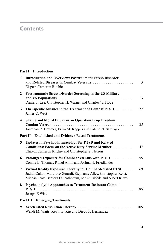### **Contents**

#### **[Part I](#page--1-0) [Introduction](#page--1-0)**

| $\mathbf{1}$            | <b>Introduction and Overview: Posttraumatic Stress Disorder</b><br>and Related Diseases in Combat Veterans<br>Elspeth Cameron Ritchie<br>Posttraumatic Stress Disorder Screening in the US Military<br>Daniel J. Lee, Christopher H. Warner and Charles W. Hoge |     |  |  |  |  |
|-------------------------|-----------------------------------------------------------------------------------------------------------------------------------------------------------------------------------------------------------------------------------------------------------------|-----|--|--|--|--|
| $\mathbf{2}$            |                                                                                                                                                                                                                                                                 |     |  |  |  |  |
| 3                       | Therapeutic Alliance in the Treatment of Combat PTSD<br>James C. West                                                                                                                                                                                           |     |  |  |  |  |
| $\overline{\mathbf{4}}$ | Shame and Moral Injury in an Operation Iraqi Freedom<br><b>Combat Veteran</b><br>Jonathan R. Dettmer, Erika M. Kappes and Patcho N. Santiago                                                                                                                    | 35  |  |  |  |  |
|                         | <b>Part II</b> Established and Evidence-Based Treatments                                                                                                                                                                                                        |     |  |  |  |  |
| 5                       | <b>Updates in Psychopharmacology for PTSD and Related</b><br>Conditions: Focus on the Active Duty Service Member<br>Elspeth Cameron Ritchie and Christopher S. Nelson                                                                                           | 47  |  |  |  |  |
| 6                       | Prolonged Exposure for Combat Veterans with PTSD<br>Connie L. Thomas, Rohul Amin and Joshua N. Friedlander                                                                                                                                                      | 55  |  |  |  |  |
| 7                       | Virtual Reality Exposure Therapy for Combat-Related PTSD<br>Judith Cukor, Maryrose Gerardi, Stephanie Alley, Christopher Reist,<br>Michael Roy, Barbara O. Rothbaum, JoAnn Difede and Albert Rizzo                                                              |     |  |  |  |  |
| 8                       | <b>Psychoanalytic Approaches to Treatment-Resistant Combat</b><br>Joseph E Wise                                                                                                                                                                                 | 85  |  |  |  |  |
|                         | <b>Part III Emerging Treatments</b>                                                                                                                                                                                                                             |     |  |  |  |  |
| 9                       | Wendi M. Waits, Kevin E. Kip and Diego F. Hernandez                                                                                                                                                                                                             | 105 |  |  |  |  |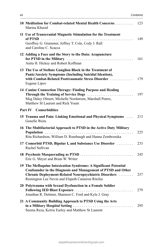| 10 Meditation for Combat-related Mental Health Concerns<br>Marina Khusid                                                                                                                                                                     | 123 |  |  |  |  |
|----------------------------------------------------------------------------------------------------------------------------------------------------------------------------------------------------------------------------------------------|-----|--|--|--|--|
| 11 Use of Transcranial Magnetic Stimulation for the Treatment<br>of PTSD $\ldots \ldots \ldots \ldots \ldots \ldots \ldots$<br>.<br>Geoffrey G. Grammer, Jeffrey T. Cole, Cody J. Rall<br>and Caroline C. Scacca                             |     |  |  |  |  |
| 12 Adding a Face and the Story to the Data: Acupuncture<br>Anita H. Hickey and Robert Koffman                                                                                                                                                | 161 |  |  |  |  |
| 13 The Use of Stellate Ganglion Block in the Treatment of<br>Panic/Anxiety Symptoms (Including Suicidal Ideation),<br>with Combat-Related Posttraumatic Stress Disorder<br>Eugene Lipov                                                      | 179 |  |  |  |  |
| 14 Canine Connection Therapy: Finding Purpose and Healing<br>Meg Daley Olmert, Michelle Nordstrom, Marshall Peters,<br>Matthew St Laurent and Rick Yount                                                                                     | 197 |  |  |  |  |
| <b>Part IV</b> Comorbidities                                                                                                                                                                                                                 |     |  |  |  |  |
| 15 Trauma and Pain: Linking Emotional and Physical Symptoms<br>Genelle Weits                                                                                                                                                                 | 213 |  |  |  |  |
| 16 The Multifactorial Approach to PTSD in the Active Duty Military<br>Rita Richardson, William D. Rumbaugh and Hanna Zembrzuska                                                                                                              | 225 |  |  |  |  |
| 17 Comorbid PTSD, Bipolar I, and Substance Use Disorder<br>Rachel Sullivan                                                                                                                                                                   | 233 |  |  |  |  |
| Eric G. Meyer and Brian W. Writer                                                                                                                                                                                                            | 245 |  |  |  |  |
| 19 The Mefloquine Intoxication Syndrome: A Significant Potential<br>Confounder in the Diagnosis and Management of PTSD and Other<br>Chronic Deployment-Related Neuropsychiatric Disorders<br>Remington Lee Nevin and Elspeth Cameron Ritchie | 257 |  |  |  |  |
| 20 Polytrauma with Sexual Dysfunction in a Female Soldier<br>Jonathan R. Dettmer, Shannon C. Ford and Kyle J. Gray                                                                                                                           | 279 |  |  |  |  |
| 21 A Community Building Approach to PTSD Using the Arts<br>Seema Reza, Kerrie Earley and Matthew St Laurent                                                                                                                                  | 295 |  |  |  |  |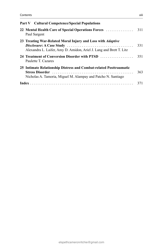| <b>Part V</b> Cultural Competence/Special Populations                                                                                     |     |
|-------------------------------------------------------------------------------------------------------------------------------------------|-----|
| 22 Mental Health Care of Special Operations Forces<br>Paul Sargent                                                                        | 311 |
| 23 Treating War-Related Moral Injury and Loss with <i>Adaptive</i><br>Alexandra L. Laifer, Amy D. Amidon, Ariel J. Lang and Brett T. Litz | 331 |
| Paulette T. Cazares                                                                                                                       | 351 |
| 25 Intimate Relationship Distress and Combat-related Posttraumatic<br>Nicholas A. Tamoria, Miguel M. Alampay and Patcho N. Santiago       | 363 |
|                                                                                                                                           | 371 |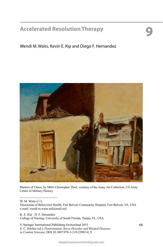## <span id="page-5-0"></span>**Accelerated Resolution Therapy**

**9**

#### Wendi M. Waits, Kevin E. Kip and Diego F. Hernandez



Masters of Chaos, by MSG Christopher Thiel, courtesy of the Army Art Collection, US Army Center of Military History.

W. M. Waits  $(\boxtimes)$ 

K. E. Kip · D. F. Hernandez College of Nursing, University of South Florida, Tampa, FL, USA

© Springer International Publishing Switzerland 2015

E. C. Ritchie (ed.), *Posttraumatic Stress Disorder and Related Diseases in Combat Veterans,* DOI 10.1007/978-3-319-22985-0\_9

Directorate of Behavioral Health, Fort Belvoir Community Hospital, Fort Belvoir, VA, USA e-mail: wendi.m.waits.mil@mail.mil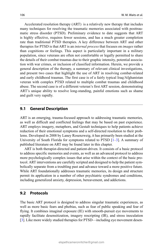Accelerated resolution therapy (ART) is a relatively new therapy that includes many techniques for resolving the traumatic memories associated with posttraumatic stress disorder (PTSD). Preliminary evidence to date suggests that ART is highly effective, requires fewer sessions, and has a much greater completion rate than traditional PTSD therapies. A key difference between ART and other therapies for PTSD is that ART is an *internal process* that focuses on *images* rather than cognitions or feelings. This aspect is particularly important in a military population, since veterans are often not comfortable or legally permitted to share the details of their combat traumas due to their graphic intensity, potential association with war crimes, or inclusion of classified information. Herein, we provide a general description of the therapy, a summary of relevant clinical investigations, and present two cases that highlight the use of ART in resolving combat-related and early childhood traumas. The first case is of a fairly typical Iraq/Afghanistan veteran with complex PTSD related to multiple combat traumas and childhood abuse. The second case is of a different veteran's first ART session, demonstrating ART's unique ability to resolve long-standing, painful emotions such as shame and guilt very rapidly.

#### **9.1 General Description**

ART is an emerging, trauma-focused approach to addressing traumatic memories, as well as difficult and conflicted feelings that may be based on past experience. ART employs imagery, metaphors, and Gestalt techniques to help patients achieve reduction of their emotional symptoms and a self-directed resolution to their problems. Developed in 2008 by Laney Rosenzweig, it has primarily been studied at the University of South Florida for symptoms related to PTSD  $[1-3]$  $[1-3]$ . A summary of published literature on ART may be found later in this chapter.

ART is both therapist-directed and patient-driven. It consists of a basic protocol to address specific memories and events, as well as an advanced protocol to address more psychologically complex issues that arise within the context of the basic protocol. ART interventions are carefully scripted and designed to help the patient symbolically separate from a troubling past and advance toward a more positive future. While ART foundationally addresses traumatic memories, its design and structure permit its application in a number of other psychiatric syndromes and conditions, including generalized anxiety, depression, bereavement, and addictions.

#### **9.2 Protocols**

The basic ART protocol is designed to address singular traumatic experiences, as well as more basic fears and phobias, such as fear of public speaking and fear of flying. It combines imaginal exposure (IE) with smooth-pursuit eye movements to rapidly facilitate desensitization, imagery rescripting (IR), and stress inoculation [\[3](#page-20-1)]. Like more widely studied therapies for PTSD—including eye movement desen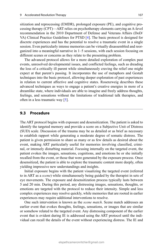sitization and reprocessing (EMDR), prolonged exposure (PE), and cognitive processing therapy (CPT)—ART relies on psychotherapy elements carrying an A-level recommendation in the 2010 Department of Defense and Veterans Affairs (DoD/ VA) Clinical Practice Guidelines for PTSD [\[4](#page-20-2)]. The basic protocol is designed for discrete experiences and has the potential to resolve a traumatic event in a single session. Even particularly intense memories can be virtually disassembled and reorganized into a meaningful narrative in 1–5 sessions, with each session focusing on different scenes or concerns as they relate to the presenting problem.

The advanced protocol allows for a more detailed exploration of complex past events, unresolved developmental issues, and conflicted feelings, such as dreading the loss of a critically ill parent while simultaneously craving the relief one might expect at that parent's passing. It incorporates the use of metaphors and Gestalt techniques into the basic protocol, allowing deeper exploration of past experiences in relation to current affective and cognitive states. Rosenzweig describes these advanced techniques as ways to engage a patient's creative energies in more of a dreamlike state, where individuals are able to imagine and freely address thoughts, feelings, and sensations without the limitations of traditional talk therapies, and often in a less traumatic way [\[5](#page-20-3)].

#### **9.3 Procedure**

The ART protocol begins with exposure and desensitization. The patient is asked to identify the targeted memory and provide a score on a Subjective Unit of Distress (SUD) scale. Discussion of the trauma may be as detailed or as brief as necessary to establish rapport while generating a moderate degree of somatic distress. The patient is given permission to share as many or as few details as desired about the event, making ART particularly useful for memories involving classified, criminal, or intensely disturbing material. Focusing internally on the targeted event, the patient evokes the images, sensations, cognitions, and emotions he or she initially recalled from the event, or those that were generated by the exposure process. Once desensitized, the patient is able to explore the traumatic content more deeply, often yielding impressive new understandings and insights.

Initial exposure begins with the patient visualizing the targeted event (referred to in ART as a *scene*) while simultaneously being guided by the therapist in sets of eye movements. The exposure and desensitization process typically lasts between 5 and 20 min. During this period, any distressing images, sensations, thoughts, or emotions are targeted with the protocol to reduce their intensity. Simple and less complex experiences may resolve quickly, while memories that are rooted in earlier experiences may require additional interventions to resolve.

One such intervention is known as the *scene match*. Scene match addresses an earlier event that evokes thoughts, feelings, sensations, or images that are similar or somehow related to the targeted event. Any distressing component of the earlier event that is evident during IE is addressed using the ART protocol until the individual can recall the details of the event without experiencing distress. The IE and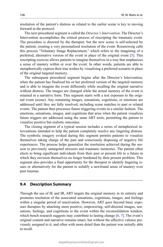resolution of the patient's distress as related to the earlier scene is key to moving forward in the protocol.

The next procedural segment is called the *Director's Intervention*. The Director's Intervention accomplishes the critical process of rescripting the traumatic event. The procedure is directed by the therapist, but the new scene is self-selected by the patient, creating a very personalized resolution of the event. Rosenzweig calls this process "Voluntary Image Replacement," which refers to the imagining of a preferred, alternative version of the event in place of the original event [[5\]](#page-20-3). This rescripting exercise allows patients to imagine themselves in a way that emphasizes a sense of mastery within or over the event. In other words, patients are able to metaphorically express their true wishes by visualizing a preferred scenario in place of the original targeted memory.

The subsequent procedural segment begins after the Director's Intervention, when the patient has finalized his or her preferred version of the targeted memory and is able to imagine the event differently while recalling the original narrative without distress. The images are changed while the actual memory of the event is retained in a narrative form. This segment starts with a test exposure to the original event (scene). Any remaining images, sensations, cognitions, or emotions are addressed until they are fully resolved, including scene matches to past or related events. The patient then processes future triggering events in a similar fashion. The emotions, sensations, images, and cognitions that arise when the patient visualizes future triggers are addressed using the same ART tools, permitting the patient to visualize positive but realistic outcomes.

The closing segment of a typical session includes a series of metaphorical interventions intended to help the patient completely resolve any lingering distress. The symbolic imagery evoked during this segment permits patients to visualize themselves taking charge of the past and consciously disposing of negative life experiences. The process helps generalize the resolution achieved during the session to previously untargeted stressors and traumatic memories. The patient often elects to bring significant individuals from their past or present life to a future in which they envision themselves no longer burdened by their present problem. This segment also provides a final opportunity for the therapist to identify lingering issues or alternatively for the patient to solidify a newfound sense of mastery over past traumas.

#### **9.4 Description Summary**

Through the use of IE and IR, ART targets the original memory in its entirety and promotes resolution of the associated sensations, cognitions, images, and feelings within a singular period of reactivation. However, ART goes beyond basic exposure therapies by attaching more positive, empowering, self-directed images, sensations, feelings, and cognitions to the event within the reconsolidation window, which bench research suggests may contribute to lasting change [[6,](#page-20-4) [7\]](#page-20-5). The event's original content and narrative remains intact, but without the affective valence previously assigned to it, and often with more detail than the patient was initially able to recall.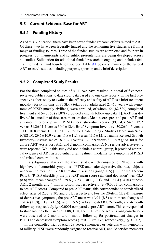#### **9.5 Current Evidence Base for ART**

#### **9.5.1 Funding History**

As of this publication, there have been seven funded research efforts related to ART. Of these, two have been federally funded and the remaining five studies are from a range of funding sources. Three of the funded studies are completed and four are in progress, but manuscripts and scientific presentations are being developed across all studies. Solicitation for additional funded research is ongoing and includes federal, nonfederal, and foundation sources. Table [9.1](#page-10-0) below summarizes the funded ART research studies including purpose, sponsor, and a brief description.

#### **9.5.2 Completed Study Results**

For the three completed studies of ART, two have resulted in a total of five peerreviewed publications to date (four data based and one case report). In the first prospective cohort study to evaluate the efficacy and safety of ART as a brief treatment modality for symptoms of PTSD, a total of 80 adults aged 21–60 years with symptoms of PTSD (mostly civilians) were enrolled, of whom, 66 (82.5%) completed treatment and 54 of 66 (81.8%) provided 2-month follow-up data [[1\]](#page-20-0). ART was delivered in a median of three treatment sessions. Mean scores pre- and post-ART and at 2-month follow-up were: PTSD checklist-civilian version (PCL-C): 54.5±12.2 versus  $31.2 \pm 11.4$  versus  $30.0 \pm 12.4$ , Brief Symptom Inventory:  $30.8 \pm 14.6$  versus  $10.1 \pm 10.8$  versus  $10.1 \pm 12.1$ , Center for Epidemiologic Studies Depression Scale (CES-D):  $29.5 \pm 10.9$  versus  $11.8 \pm 11.1$  versus  $13.5 \pm 12.1$ , Trauma-Related Growth Inventory-Distress scale:  $18.9 \pm 4.1$  versus  $7.4 \pm 5.9$  versus  $8.2 \pm 5.9$  ( $p < 0.0001$  for all pre-ART versus post-ART and 2-month comparisons). No serious adverse events were reported. While this study did not include a control group, it provided empirical evidence of ART as a potential brief treatment modality for symptoms of PTSD and related comorbidities.

In a subgroup analysis of the above study, which consisted of 28 adults with high levels of comorbid symptoms of PTSD and major depressive disorder, subjects underwent a mean of 3.7 ART treatment sessions (range  $1-5$ ) [[8\]](#page-20-6). For the 17-item PCL-C (PTSD checklist), the pre-ART mean score (standard deviation) was 62.5 (8.8) with mean changes of −29.6 (12.5), −30.1 (13.1), and −31.4 (14.04) at post-ART, 2-month, and 4-month follow-up, respectively ( $p \le 0.0001$  for comparisons to pre-ART score). Compared to pre-ART status, this corresponded to standardized effect sizes of 2.37, 2.30, and 3.01, respectively. For the 20-item CES-D measure of depressive symptoms, the pre-ART mean was 35.1 (8.8) with mean changes of −20.6 (11.0), −18.1 (11.5), and −15.6 (14.4) at post-ART, 2-month, and 4-month follow-up, respectively  $(p<0.0001$  compared to pre-ART score). This corresponded to standardized effect sizes of 1.88, 1.58, and 1.09, respectively. Strong correlations were observed at 2-month and 4-month follow-up for posttreatment changes in PTSD and depression symptom scores ( $r=0.79$ ,  $r=0.76$ , respectively,  $p \le 0.0002$ ).

In the controlled trial of ART, 29 service members or veterans with symptoms of military PTSD were randomly assigned to receive ART, and 28 service members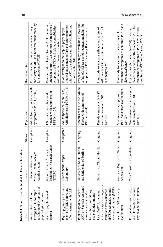|                                                             | <b>Brief</b> description | and safety of ART as a brief treatment modality<br>Prospective cohort study to evaluate efficacy<br>for symptoms of PTSD | attention control (AC) regimen for treatment of<br>symptoms of PTSD and related comorbidities,<br>Randomized controlled trial of ART versus an<br>with 3-month follow-up evaluation | with ART to a selected sample of civilians and<br>ological assessment before and after treatment<br>Pilot investigation that applied psychophysi-<br>veterans with PTSD | Prospective pilot study to evaluate efficacy and<br>safety of ART as a brief treatment modality for<br>symptoms of PTSD among British veterans | Pilot study to evaluate efficacy and safety of<br>ART as a brief treatment modality for PTSD<br>secondary to MST                             | treatment of symptoms of comorbid PTSD and<br>Pilot study to examine efficacy of ART for<br>sleep disturbance | ate efficacy and cost-effectiveness of ART for<br>treatment of symptoms of PTSD, with overs-<br>Prospective cohort study ( $n=200$ ) to evalu-<br>ampling of MST and refractory PTSD |
|-------------------------------------------------------------|--------------------------|--------------------------------------------------------------------------------------------------------------------------|-------------------------------------------------------------------------------------------------------------------------------------------------------------------------------------|-------------------------------------------------------------------------------------------------------------------------------------------------------------------------|------------------------------------------------------------------------------------------------------------------------------------------------|----------------------------------------------------------------------------------------------------------------------------------------------|---------------------------------------------------------------------------------------------------------------|--------------------------------------------------------------------------------------------------------------------------------------------------------------------------------------|
|                                                             | Population               | Adults (mostly civilians) with<br>symptoms of PTSD $(n=80)$                                                              | veterans with symptoms of<br>US Service members and<br>$PTSD(n=57)$                                                                                                                 | with diagnosed PTSD $(n=13)$<br>Adults (principally civilians)                                                                                                          | Veterans of the British Armed<br>Forces with symptoms of<br>$PTSD(n=24)$                                                                       | Female veterans with MST<br>and symptoms of PTSD<br>$(n = 10)$                                                                               | PTSD and sleep dysfunction<br>Veterans with symptoms of<br>$(n=15)$                                           | Service members and veterans<br>with symptoms of PTSD<br>$(n=200)$                                                                                                                   |
|                                                             | <b>Status</b>            | Completed                                                                                                                | Completed                                                                                                                                                                           | Completed                                                                                                                                                               | Ongoing                                                                                                                                        | Ongoing                                                                                                                                      | Ongoing                                                                                                       | Ongoing                                                                                                                                                                              |
|                                                             | Sponsor                  | Mental Health Services<br>Substance Abuse and<br>Administration                                                          | Technology Research Center<br>Telemedicine & Advanced<br>(TATRC)                                                                                                                    | Charles Stark Draper<br>Laboratory                                                                                                                                      | University of South Florida<br>and University of Stirling                                                                                      | University of South Florida                                                                                                                  | American Psychiatric Nurses<br>Association                                                                    | Chris T. Sullivan Foundation                                                                                                                                                         |
| <b>Table 9.1</b> Summary of the funded ART research studies | Title                    | resolution of symptoms of<br>therapy (ART) for rapid<br>Accelerated resolution<br>psychological trauma                   | ART for psychological<br>trauma                                                                                                                                                     | Psychophysiological assess-<br>ment of PTSD before and<br>after treatment with ART                                                                                      | ART by Scottish registered<br>Pilot study of delivery of<br>for treatment of military<br>nurses in mental health<br>psychological trauma       | veterans experiencing post-<br>ب.<br>traumatic stress disorder<br>(PTSD) secondary to mil<br>tary sexual trauma (MST<br>Use of ART for women | ART for PTSD and sleep<br>dysfunction                                                                         | Prospective cohort study of<br>ART for treatment of mil<br>tary psychological traum                                                                                                  |

<span id="page-10-0"></span>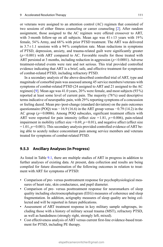or veterans were assigned to an attention control (AC) regimen that consisted of two sessions of either fitness counseling or career counseling [[2\]](#page-20-7). After random assignment, those assigned to the AC regimen were offered crossover to ART, with 3-month follow-up on all subjects. Mean age was  $41 \pm 13$  years with 19% female, 54% Army, and 68% with prior PTSD treatment. The ART was delivered in  $3.7 \pm 1.1$  sessions with a 94% completion rate. Mean reductions in symptoms of PTSD, depression, anxiety, and trauma-related guilt were significantly greater  $(p<0.001)$  with ART compared to AC. Favorable results for those treated with ART persisted at 3 months, including reduction in aggression ( $p$ <0.0001). Adverse treatment-related events were rare and not serious. This trial provided controlled evidence indicating that ART is a brief, safe, and effective treatment for symptoms of combat-related PTSD, including refractory PTSD.

In a secondary analysis of the above-described controlled trial of ART, type and magnitude of comorbid pain was assessed among 45 service members/veterans with symptoms of combat-related PTSD (24 assigned to ART and 21 assigned to the AC regimen) [\[9](#page-21-0)]. Mean age was 41.0 years, 20% were female, and most subjects (93%) reported at least some level of current pain. The majority (78%) used descriptive terms indicative of neuropathic pain, with 29% reporting symptoms of a concussion or feeling dazed. Mean pre-/post-change (standard deviation) on the pain outcomes questionnaire (POQ) was  $-16.9$  (16.6) in the ART group versus  $-0.79$  (14.2) in the AC group  $(p=0.0006)$ . Among POQ subscales, significant treatment effects with ART were reported for pain intensity (effect size  $=1.81$ ,  $p=0.006$ ), pain-related impairment in mobility (effect size  $=0.69$ ,  $p=0.01$ ), and negative affect (effect size  $=1.01, p=0.001$ ). This secondary analysis provided controlled evidence of ART being able to acutely reduce concomitant pain among service members and veterans treated for symptoms of combat-related PTSD.

#### **9.5.3 Ancillary Analyses (in Progress)**

As listed in Table [9.1,](#page-10-0) there are multiple studies of ART in progress in addition to further analyses of existing data. At present, data collection and results are being compiled for future dissemination of the following outcomes in relation to treatment with ART for symptoms of PTSD:

- Comparison of pre- versus posttreatment response for psychophysiological measures of heart rate, skin conductance, and pupil diameter.
- Comparison of pre- versus posttreatment response for neuromarkers of sleep quality including electroencephalogram (EEG) measures of coherence and sleep fragmentation. In addition, actigraphy measures of sleep quality are being collected and will be reported in future publications.
- Assessment of ART treatment response in key military sample subgroups, including those with a history of military sexual trauma (MST), refractory PTSD, as well as handedness (strongly right, strongly left, mixed).
- Cost effectiveness analysis of ART versus current first-line evidence-based treatment for PTSD, including PE therapy.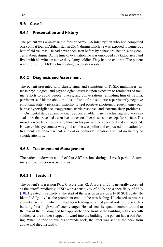#### **9.6 Case 1**

#### **9.6.1 Presentation and History**

The patient was a 44-year-old former Army E-6 infantryman who had completed one combat tour in Afghanistan in 2004, during which he was exposed to numerous battlefield traumas. He had never been seen before by behavioral health, citing concerns about stigma. At the time of evaluation, he was employed as a tattoo artist and lived with his wife, an active duty Army soldier. They had no children. The patient was referred for ART by his treating psychiatry resident.

#### **9.6.2 Diagnosis and Assessment**

The patient presented with classic signs and symptoms of PTSD: nightmares; intense physiological and psychological distress upon exposure to reminders of trauma; efforts to avoid people, places, and conversations reminding him of trauma; persistent self-blame about the loss of one of his soldiers; a persistently negative emotional state; a persistent inability to feel positive emotions; frequent angry outbursts; hypervigilance, exaggerated startle response; and extreme sleep problems.

On mental status examination, he appeared older than his actual age and wore casual attire that revealed extensive tattoos on all exposed skin except for his face. His muscles were tense, especially those in his jaw, and he appeared tired and agitated. However, his eye contact was good and he was polite and expressed motivation for treatment. He denied recent suicidal or homicidal ideation and had no history of suicide attempts.

#### **9.6.3 Treatment and Management**

The patient underwent a total of four ART sessions during a 5-week period. A summary of each session is as follows:

#### **9.6.3.1 Session 1**

The patient's presession PCL-C score was 72. A score of 50 is generally accepted as the cutoff, predicting PTSD with a sensitivity of 82% and a specificity of 83%  $[10]$  $[10]$ . He rated his anxiety at the start of the session as a 9 on a  $1-10$  SUD scale. He identified "guilty" as the prominent emotion he was feeling. He elected to process a combat scene in which he had been leading an allied patrol ordered to search a building for a "high value" enemy target. He had sent six squad members around to the rear of the building and had approached the front of the building with a seventh soldier. As the soldier stepped forward into the building, the patient had a bad feeling. When he tried to pull his comrade back, the latter was shot in the neck from above and died instantly.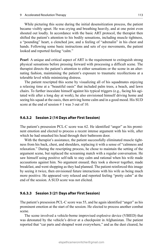While picturing this scene during the initial desensitization process, the patient became visibly upset. He was crying and breathing heavily, and at one point even shouted out loudly. In accordance with the basic ART protocol, the therapist then shifted the patient's attention to his bodily sensations, including muscle tightness, a "pounding" heart, a clenched jaw, and a feeling of "adrenalin" in his chest and hands. Following some basic instructions and sets of eye movements, the patient looked and reported feeling "calm."

**Pearl** A unique and critical aspect of ART is the requirement to extinguish strong physical sensations before pressing forward with processing a difficult scene. The therapist directs the patient's attention to either sensations or the scene in an alternating fashion, maintaining the patient's exposure to traumatic recollections at a tolerable level while minimizing distress.

The patient rescripted this scene by visualizing all of his squadmates enjoying a relaxing time at a "beautiful oasis" that included palm trees, a beach, and lawn chairs. To further inoculate himself against his typical triggers (e.g., facing his agitated wife after a long day at work), he also envisioned himself driving home and seeing his squad at the oasis, then arriving home calm and in a good mood. His SUD score at the end of session  $# 1$  was 3 out of 10.

#### **9.6.3.2 Session 2 (14 Days after First Session)**

The patient's presession PCL-C score was 62. He identified "anger" as his prominent emotion and elected to process a recent intense argument with his wife, after which he had smashed his head through their bathroom door.

With the therapist's assistance, the patient successfully eliminated muscle tightness from his back, chest, and shoulders, replacing it with a sense of "calmness and relaxation." During the rescripting process, he chose to maintain the setting of the argument scene, but replaced the screaming match with a regular conversation. He saw himself using positive self-talk to stay calm and rational when his wife made accusations against him. No argument ensued; they took a shower together, made breakfast, and went shopping as they had planned. The patient reinforced this image by seeing it twice, then envisioned future interactions with his wife as being much more positive. He appeared very relaxed and reported feeling "pretty calm" at the end of the session. A SUD score was not elicited.

#### **9.6.3.3 Session 3 (21 Days after First Session)**

The patient's presession PCL-C score was 55, and he again identified "anger" as his prominent emotion at the start of the session. He elected to process another combat scene.

The scene involved a vehicle-borne improvised explosive device (VBIED) that was detonated by the vehicle's driver at a checkpoint in Afghanistan. The patient reported that "car parts and shrapnel went everywhere," and as the dust cleared, he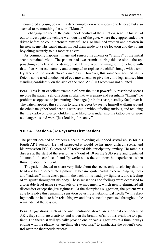encountered a young boy with a dark complexion who appeared to be dead but also seemed to be mouthing the word "Mama."

In changing the scene, the patient took control of the situation, sending his squad out to investigate the vehicle well outside of the gate, where they apprehended the driver before he could detonate himself. He also included women and children in his new scene. His squad mates moved them aside to a safe location and the young boy clung securely to his mother's skirt.

As commonly happens, image and sensory fragments or "crumbs" of the initial scene remained vivid. The patient had two crumbs during this session—the approaching vehicle and the dying child. He replaced the image of the vehicle with that of an American convoy and attempted to replace the child's image with a smiley face and the words "have a nice day." However, this somehow seemed insufficient, so he used another set of eye movements to give the child legs and see him standing confidently on the side of the road. An SUD score was not elicited.

**Pearl** This is an excellent example of how the most powerfully rescripted scenes involve the patient self-directing an alternative scenario and essentially "fixing" the problem as opposed to just putting a bandage (or in this case, a smiley face) over it. The patient applied this solution to future triggers by seeing himself walking around the ethnic neighborhood near his work studio without feeling anxious, and realizing that the dark-complected children who liked to wander into his tattoo parlor were not dangerous and were "just looking for candy."

#### **9.6.3.4 Session 4 (37 Days after First Session)**

The patient decided to process a scene involving childhood sexual abuse for his fourth ART session. He had suspected it would be his most difficult scene, and his presession PCL-C score of 77 reflected this anticipatory anxiety. He rated his distress at the start of the session as a 7 out of 10 on the SUD scale and identified "distrustful," "confused," and "powerless" as the emotions he experienced when thinking about the event.

The patient elected to share very little about the scene, only disclosing that his head was being forced into a pillow. He became quite tearful, experiencing tightness and "sadness" in his chest, pain in the back of his head, jaw tightness, and a feeling of "disgust" throughout his body. These sensations and feelings were decreased to a tolerable level using several sets of eye movements, which nearly eliminated all discomfort except the jaw tightness. At the therapist's suggestion, the patient was able to resolve this remaining sensation by using a metaphorical needle "with relaxing medicine in it" to help relax his jaw, and this relaxation persisted throughout the remainder of the session.

**Pearl** Suggestions, such as the one mentioned above, are a critical component of ART; they stimulate creativity and widen the breadth of solutions available to a patient. The therapist will typically provide one or two suggestions at a time, always ending with the phrase "or anything else you like," to emphasize the patient's control over the therapeutic process.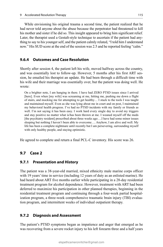While envisioning his original trauma a second time, the patient realized that he had never told anyone about the abuse because the perpetrator had threatened to kill his mother and sister if he did so. This insight appeared to bring him significant relief. Later, the therapist used a Gestalt-style technique to ascertain if the patient had anything to say to his younger self, and the patient calmly related, "I told him I understand now." His SUD score at the end of the session was 2.5 and he reported feeling "calm."

#### **9.6.4 Outcomes and Case Resolution**

Shortly after session 4, the patient left his wife, moved halfway across the country, and was essentially lost to follow-up. However, 5 months after his first ART session, he emailed his therapist an update. He had been through a difficult time with his wife and their marriage was essentially over, but the patient was doing well. He wrote:

On a brighter note, I am hanging in there. I have had ZERO PTSD issues since I arrived [here]. Even when [my wife] was screaming at me, hitting me, pushing me down a flight of stairs, and mocking me for attempting to get healthy… I stuck to the tools I was taught and maintained myself. Even as she was lying about me in court and on post, I maintained my behavioral health progress. I've had no PTSD incidents with my family or friends as well. I'm not saying it has been easy. I work hard every single day to avoid my triggers and stay positive no matter what is/has been thrown at me. I weaned myself off the meds [the psychiatry resident] prescribed about three weeks ago….I have had some minor issues sleeping but nothing I haven't been able to overcome…. Anyhow, I am alive and well. My life has been a complete nightmare until recently but I am persevering, surrounding myself with only healthy people, and staying optimistic.

He agreed to complete and return a final PCL-C inventory. His score was 26.

#### **9.7 Case 2**

#### **9.7.1 Presentation and History**

The patient was a 38-year-old married, mixed ethnicity male marine corps officer with 19 years' time in service (including 12 years of duty as an enlisted marine). He had heard about ART five months earlier while participating in a 28-day residential treatment program for alcohol dependence. However, treatment with ART had been deferred to maximize his participation in other planned therapies, beginning in the residential treatment program and continuing through a four-week partial hospitalization program, a three-week comprehensive traumatic brain injury (TBI) evaluation program, and intermittent weeks of individual outpatient therapy.

#### **9.7.2 Diagnosis and Assessment**

The patient's PTSD symptoms began as impatience and anger that emerged as he was recovering from a severe rocket injury to his left forearm three and a half years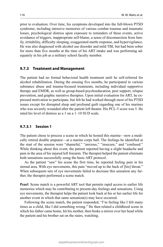prior to evaluation. Over time, his symptoms developed into the full-blown PTSD syndrome, including intrusive memories of various combat traumas and traumatic losses, psychological distress upon exposure to reminders of these events, active avoidance of triggers, inappropriate self-blame, a sense of disconnection from family, irritability, difficulty sleeping, exaggerated startle response, and hypervigilance. He was also diagnosed with alcohol use disorder and mild TBI, but had been sober for more than five months at the time of his ART intake and was performing adequately in his job as a military school faculty member.

#### **9.7.3 Treatment and Management**

The patient had no formal behavioral health treatment until he self-referred for alcohol rehabilitation. During the ensuing five months, he participated in various substance abuse and trauma-focused treatments, including individual supportive therapy and EMDR, as well as group-based psychoeducation, peer support, relapse prevention, and graphic narrative therapies. Upon initial evaluation for ART, he expressed motivation to participate, but felt he had worked through most of his PTSD issues except for disrupted sleep and profound guilt regarding one of his marines who was severely wounded after the patient left theater. His PCL-5 score was 5. He rated his level of distress as a 1 on a 1–10 SUD scale.

#### **9.7.3.1 Session 1**

The patient chose to process a scene in which he hosted this marine—now a medically retired double amputee—at a marine corps ball. The feelings he identified at the start of the session were "shameful," "anxious," "insecure," and "confused." While thinking about this event, the patient reported having a slight headache and pain in the area of his injured left forearm. The therapist helped the patient eliminate both sensations successfully using the basic ART protocol.

As the patient "saw" his scene the first time, he reported feeling pain in his sternal area. With eye movements, this pain "moved up to the back of [his] throat." When subsequent sets of eye movements failed to decrease this sensation any further, the therapist performed a scene match.

**Pearl** Scene match is a powerful ART tool that permits rapid access to earlier life memories which may be contributing to present-day feelings and sensations. Using eye movements, the therapist helps the patient look back at his or her earlier life for another event in which that same sensation(s) may have occurred.

Following the scene match, the patient responded, "I'm feeling like I felt many times as a child, like I did something wrong." He then related a childhood scene in which his father came home, hit his mother, then broke a mirror over her head while the patient and his brother sat on the stairs, watching.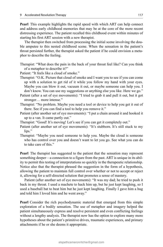**Pearl** This example highlights the rapid speed with which ART can help connect and address early childhood memories that may be at the core of the more recent distressing experience. The patient recalled this childhood event within minutes of starting his first ART session with a new therapist.

The therapist then switched from processing the initial scene involving the double amputee to this nested childhood scene. When the sensation in the patient's throat persisted further, the therapist asked the patient if he could envision a metaphor to describe the feeling.

- Therapist: "What does the pain in the back of your throat feel like? Can you think of a metaphor to describe it?"
- Patient: "It feels like a cloud of smoke."
- Therapist: "O.K. Picture that cloud of smoke and I want you to see if you can come up with a solution to get rid of it while you follow my hand with your eyes. Maybe you can blow it out, vacuum it out, or maybe someone can help you. I don't know. You can use my suggestions or anything else you like. Here we go."
- Patient (after a set of eye movements): "I tried to grab it and pull it out, but it got stronger… more intense."
- Therapist: "No problem. Maybe you need a tool or device to help you get it out of there. See if you can find a tool to help you remove it."
- Patient (after another set of eye movements): "I put a chain around it and hooked it up to a van. It came partly out."
- Therapist: "Good! It's moving! Let's see if you can get it completely out."
- Patient (after another set of eye movements): "It's stubborn. It's still stuck to my lips."
- Therapist: "Maybe you need someone to help you. Maybe the cloud is someone who has control over you and doesn't want to let you go. See what you can do to take care of this."

**Pearl** The therapist has suggested to the patient that the sensation may represent something deeper—a connection to a figure from the past. ART is unique in its ability to permit this testing of interpretations so quickly in the therapeutic relationship. Notice also that the therapist phrased the suggestion in the form of a hypothesis, allowing the patient to maintain full control over whether or not to accept or reject it, allowing for a self-directed solution that promotes a sense of mastery.

Patient (after another set of eye movements): "It was my dad; he tried to push it back in my throat. I used a machete to hack him up, but he just kept laughing, so I used a baseball bat to beat him but he just kept laughing. Finally I gave him a hug and told him I loved him and he went away."

**Pearl** Consider the rich psychodynamic material that emerged from this simple exploration of a bodily sensation. The use of metaphor and imagery helped the patient simultaneously express and resolve persistent and even conflicting feelings without a lengthy analysis. The therapist now has the option to explore many more hypotheses about the patient's primitive drives, traumatic experiences, and primary attachments if he or she deems it appropriate.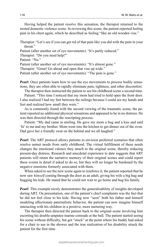Having helped the patient resolve this sensation, the therapist returned to the nested domestic violence scene. In reviewing this scene, the patient reported feeling pain in his chest again, which he described as feeling "like an old wooden vise."

Therapist: "Let's see if you can get rid of that pain like you did with the pain in your throat."

Patient (after another set of eye movements): "It's partly reduced."

Therapist: "Do you need help?"

Patient: "No."

Patient (after another set of eye movements): "It's almost gone."

Therapist: "Great! Go ahead and open that vise up wide."

Patient (after another set of eye movements): "The pain is gone."

**Pearl** Once patients learn how to use the eye movements to process bodily sensations, they are often able to rapidly eliminate pain, tightness, and other discomfort.

The therapist then instructed the patient to see his childhood scene a second time.

Patient: "This time I noticed that my mom had tried to hold open the front door. I also realized I had my feet between the railings because I could see my hands and feet and realized how small they were."

As is commonly found with the second viewing of the traumatic scene, the patient reported no additional physical sensations and appeared to be in no distress. He was then directed through the rescripting process.

Patient: "My dad came in smiling. He gave my mom a hug and a kiss and said 'hi' to me and my brother. Mom went into the kitchen to get dinner out of the oven. Dad gave her a friendly swat on the behind and we all laughed."

**Pearl** The ART protocol allows patients to envision preferred scenarios that often resolve unmet needs from early childhood. The virtual fulfillment of these needs changes the emotional valence they attach to the original scene, thereby reducing present-day distress. Research and anecdotal experience to date suggests that ART patients will retain the narrative memory of their original scenes and could report these events in detail if asked to do so, but they will no longer be burdened by the negative emotions formerly associated with them.

When asked to see the new scene again to reinforce it, the patient reported that he now saw *himself* coming through the door as an adult, giving his wife a big hug and hugging his kids. He stated that he could not wait to go home and hug his family.

**Pearl** This example nicely demonstrates the generalizability of insights developed during ART. On presentation, one of the patient's chief complaints was the fact that he did not feel close to his kids. Having now "seen" both his father and himself modeling affectionate paternalistic behavior, the patient can now imagine himself interacting with his children in a positive, more nurturing way.

The therapist then directed the patient back to the original scene involving him escorting his double-amputee marine comrade at the ball. The patient started seeing his scene without difficulty, but got "stuck" at the point where his buddy had asked for a chair to use in the shower and the true realization of his disability struck the patient for the first time.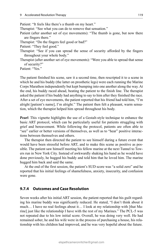Patient: "It feels like there's a thumb on my heart."

Therapist: "See what you can do to remove that sensation."

- Patient (after another set of eye movements): "The thumb is gone, but now there are fingers there."
- Therapist: "Do the fingers feel good or bad?"

Patient: "They feel good."

- Therapist: "See if you can spread the sense of security afforded by the fingers throughout your whole body."
- Therapist (after another set of eye movements): "Were you able to spread that sense of security?"

Patient: "Yes."

The patient finished his scene, saw it a second time, then rescripted it to a scene in which he and his buddy (the latter on prosthetic legs) were each running the Marine Corps Marathon independently but kept bumping into one another along the way. At the end, his buddy raced ahead, beating the patient to the finish line. The therapist asked the patient if his buddy had anything to say to him after they finished the race. After a set of eye movements, the patient reported that his friend had told him, "I'm alright [patient's name], I'm alright." The patient then felt a pleasant, warm sensation, which the therapist helped him spread throughout his body.

**Pearl** This vignette highlights the use of a Gestalt-style technique to enhance the basic ART protocol, which can be particularly useful for patients struggling with grief and bereavement. While following the protocol, patients are often able to "see" earlier or better versions of themselves, as well as to "hear" positive interactions between themselves and others.

The therapist then directed the patient to see himself during a future event that would have been stressful before ART, and to make this scene as positive as possible. The patient saw himself meeting his fellow marine at the next Tunnel to Towers run in New York City. Instead of awkwardly shaking his hand as he would have done previously, he hugged his buddy and told him that he loved him. The marine hugged him back and said the same.

At the end of the first session, the patient's SUD score was "a solid zero" and he reported that his initial feelings of shamefulness, anxiety, insecurity, and confusion were gone.

#### **9.7.4 Outcomes and Case Resolution**

Seven weeks after his initial ART session, the patient reported that his guilt regarding his marine buddy was significantly reduced. He stated, "I don't think about it much… I have no real feelings about it… I look at my relationship with [that Marine] just like the relationship I have with the rest of my Marines." The PCL-5 was not repeated due to his low initial score. Overall, he was doing very well. He had remained sober, he and his wife were in the process of purchasing a house, his relationship with his children had improved, and he was very hopeful about the future.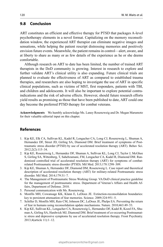#### **9.8 Conclusion**

ART constitutes an efficient and effective therapy for PTSD that packages A-level psychotherapy elements in a novel format. Capitalizing on the memory reconsolidation window, the experienced ART therapist can eliminate negative images and sensations, while helping the patient rescript distressing memories and positively envision future events. Meanwhile, the patient remains in control—alert, aware, and at liberty to share as many or as few details of the experience as he or she deems comfortable.

Although research on ART to date has been limited, the number of trained ART therapists in the DoD community is growing. Interest in research to explore and further validate ART's clinical utility is also expanding. Future clinical trials are planned to evaluate the effectiveness of ART as compared to established trauma therapies, and researchers are also hoping to investigate the use of ART in specific clinical populations, such as victims of MST, first responders, patients with TBI, and children and adolescents. It will also be important to explore potential contraindications and the risk of adverse effects. However, should future research efforts yield results as promising as those that have been published to date, ART could one day become the preferred PTSD therapy for combat veterans.

**Acknowledgments** We humbly acknowledge Ms. Laney Rosenzweig and Dr. Megan Marumoto for their valuable editorial input on this chapter.

#### **References**

- <span id="page-20-0"></span>1. Kip KE, Elk CA, Sullivan KL, Kadel R, Lengacher CA, Long CJ, Rosenzweig L, Shuman A, Hernandez DF, Street JD, Girling SA, Diamond DM. Brief treatment of symptoms of Posttraumatic stress disorder (PTSD) by use of accelerated resolution therapy (ART). Behav Sci. 2012;2(2):115–34.
- <span id="page-20-7"></span>2. Kip KE, Rosenzweig L, Hernandez DF, Shuman A, Sullivan KL, Long CJ, Taylor J, McGhee S, Girling SA, Wittenberg, T, Sahebzamani, FM, Lengacher CA, Kadel R, Diamond DM. Randomized controlled trial of accelerated resolution therapy (ART) for symptoms of combatrelated Posttraumatic stress disorder (PTSD). Mil Med. 2013;178:1298–309.
- <span id="page-20-1"></span>3. Kip KE, Shuman A, Hernandez DF, Diamond DM, Rosenzweig L. Case report and theoretical description of accelerated resolution therapy (ART) for military-related Posttraumatic stress disorder. Mil Med. 2014;179:31–7.
- <span id="page-20-2"></span>4. The Management of Posttraumatic Stress Working Group. VA/DoD clinical practice guideline for the management of posttraumatic stress. Department of Veteran's Affairs and Health Affairs, Department of Defense. 2010.
- <span id="page-20-3"></span>5. Personal communication with Ms. Rosenzweig.
- <span id="page-20-4"></span>6. Monfils MH, Cowansage KK, Klann E, LeDoux JE. Extinction-reconsolidation boundaries: key to persistent attenuation of fear memories. Science. 2009;324:951–5.
- <span id="page-20-5"></span>7. Schiller D, Monfils MH, Raio CM, Johnson DC, LeDoux JE, Phelps EA. Preventing the return of fear in humans using reconsolidation update mechanisms. Nature. 2010;463:49–53.
- <span id="page-20-6"></span>8. Kip KE, Sullivan KL, Lengacher CA, Rosenzweig L, Hernandez DF, Kadel R, Kozel FA, Shuman A, Girling SA, Hardwick MJ, Diamond DM. Brief treatment of co-occurring Posttraumatic stress and depressive symptoms by use of accelerated resolution therapy. Front Psychiatry. 2013;4(article 11):1–12.